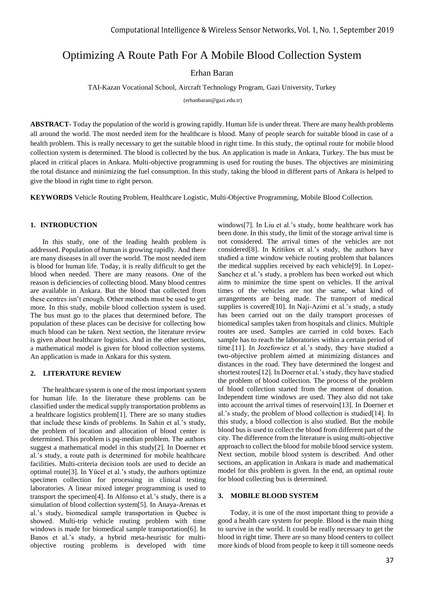# Optimizing A Route Path For A Mobile Blood Collection System

Erhan Baran

TAI-Kazan Vocational School, Aircraft Technology Program, Gazi University, Turkey

(erhanbaran@gazi.edu.tr)

**ABSTRACT-** Today the population of the world is growing rapidly. Human life is under threat. There are many health problems all around the world. The most needed item for the healthcare is blood. Many of people search for suitable blood in case of a health problem. This is really necessary to get the suitable blood in right time. In this study, the optimal route for mobile blood collection system is determined. The blood is collected by the bus. An application is made in Ankara, Turkey. The bus must be placed in critical places in Ankara. Multi-objective programming is used for routing the buses. The objectives are minimizing the total distance and minimizing the fuel consumption. In this study, taking the blood in different parts of Ankara is helped to give the blood in right time to right person.

**KEYWORDS** Vehicle Routing Problem, Healthcare Logistic, Multi-Objective Programming, Mobile Blood Collection.

## **1. INTRODUCTION**

In this study, one of the leading health problem is addressed. Population of human is growing rapidly. And there are many diseases in all over the world. The most needed item is blood for human life. Today, it is really difficult to get the blood when needed. There are many reasons. One of the reason is deficiencies of collecting blood. Many blood centres are available in Ankara. But the blood that collected from these centres isn't enough. Other methods must be used to get more. In this study, mobile blood collection system is used. The bus must go to the places that determined before. The population of these places can be decisive for collecting how much blood can be taken. Next section, the literature review is given about healthcare logistics. And in the other sections, a mathematical model is given for blood collection systems. An application is made in Ankara for this system.

## **2. LITERATURE REVIEW**

The healthcare system is one of the most important system for human life. In the literature these problems can be classified under the medical supply transportation problems as a healthcare logistics problem[1]. There are so many studies that include these kinds of problems. In Sahin et al.'s study, the problem of location and allocation of blood center is determined. This problem is pq-median problem. The authors suggest a mathematical model in this study[2]. In Doerner et al.'s study, a route path is determined for mobile healthcare facilities. Multi-criteria decision tools are used to decide an optimal route[3]. In Yücel et al.'s study, the authors optimize specimen collection for processing in clinical testing laboratories. A linear mixed integer programming is used to transport the specimen[4]. In Alfonso et al.'s study, there is a simulation of blood collection system[5]. In Anaya-Arenas et al.'s study, biomedical sample transportation in Quebec is showed. Multi-trip vehicle routing problem with time windows is made for biomedical sample transportation[6]. In Banos et al.'s study, a hybrid meta-heuristic for multiobjective routing problems is developed with time

windows[7]. In Liu et al.'s study, home healthcare work has been done. In this study, the limit of the storage arrival time is not considered. The arrival times of the vehicles are not considered[8]. In Kritikos et al.'s study, the authors have studied a time window vehicle routing problem that balances the medical supplies received by each vehicle[9]. In Lopez-Sanchez et al.'s study, a problem has been worked out which aims to minimize the time spent on vehicles. If the arrival times of the vehicles are not the same, what kind of arrangements are being made. The transport of medical supplies is covered[10]. In Naji-Azimi et al.'s study, a study has been carried out on the daily transport processes of biomedical samples taken from hospitals and clinics. Multiple routes are used. Samples are carried in cold boxes. Each sample has to reach the laboratories within a certain period of time.[11]. In Jozefowiez et al.'s study, they have studied a two-objective problem aimed at minimizing distances and distances in the road. They have determined the longest and shortest routes[12]. In Doerner et al.'s study, they have studied the problem of blood collection. The process of the problem of blood collection started from the moment of donation. Independent time windows are used. They also did not take into account the arrival times of reservoirs[13]. In Doerner et al.'s study, the problem of blood collection is studied[14]. In this study, a blood collection is also studied. But the mobile blood bus is used to collect the blood from different part of the city. The difference from the literature is using multi-objective approach to collect the blood for mobile blood service system. Next section, mobile blood system is described. And other sections, an application in Ankara is made and mathematical model for this problem is given. In the end, an optimal route for blood collecting bus is determined.

#### **3. MOBILE BLOOD SYSTEM**

Today, it is one of the most important thing to provide a good a health care system for people. Blood is the main thing to survive in the world. It could be really necessary to get the blood in right time. There are so many blood centers to collect more kinds of blood from people to keep it till someone needs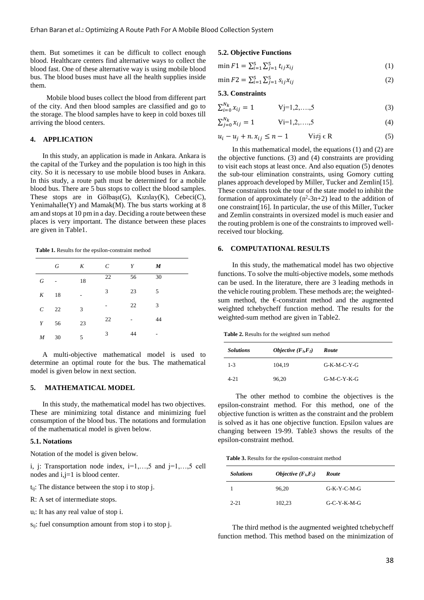them. But sometimes it can be difficult to collect enough blood. Healthcare centers find alternative ways to collect the blood fast. One of these alternative way is using mobile blood bus. The blood buses must have all the health supplies inside them.

 Mobile blood buses collect the blood from different part of the city. And then blood samples are classified and go to the storage. The blood samples have to keep in cold boxes till arriving the blood centers.

## **4. APPLICATION**

In this study, an application is made in Ankara. Ankara is the capital of the Turkey and the population is too high in this city. So it is necessary to use mobile blood buses in Ankara. In this study, a route path must be determined for a mobile blood bus. There are 5 bus stops to collect the blood samples. These stops are in Gölbaşı(G), Kızılay(K), Cebeci(C), Yenimahalle(Y) and Mamak(M). The bus starts working at 8 am and stops at 10 pm in a day. Deciding a route between these places is very important. The distance between these places are given in Table1.

**Table 1.** Results for the epsilon-constraint method

|               | G    | K  | $\mathcal{C}_{0}^{(n)}$ | Y  | $\boldsymbol{M}$ |
|---------------|------|----|-------------------------|----|------------------|
| G             |      | 18 | 22                      | 56 | 30               |
| K             | 18   |    | 3                       | 23 | 5                |
| $\mathcal{C}$ | 22   | 3  | ۰                       | 22 | 3                |
|               | Y 56 | 23 | 22                      |    | 44               |
| $M$ 30        |      | 5  | 3                       | 44 | ۰                |

A multi-objective mathematical model is used to determine an optimal route for the bus. The mathematical model is given below in next section.

#### **5. MATHEMATICAL MODEL**

In this study, the mathematical model has two objectives. These are minimizing total distance and minimizing fuel consumption of the blood bus. The notations and formulation of the mathematical model is given below.

#### **5.1. Notations**

Notation of the model is given below.

i, j: Transportation node index,  $i=1,...,5$  and  $j=1,...,5$  cell nodes and i,j=1 is blood center.

- tij: The distance between the stop i to stop j.
- R: A set of intermediate stops.
- ui: It has any real value of stop i.
- sij: fuel consumption amount from stop i to stop j.

## **5.2. Objective Functions**

- min  $F1 = \sum_{i=1}^{5} \sum_{j=1}^{5} t_{ij} x_{ij}$ (1)
- min  $F2 = \sum_{i=1}^{5} \sum_{j=1}^{5} s_{ij} x_{ij}$ (2)

## **5.3. Constraints**

$$
\sum_{i=0}^{N_k} x_{ij} = 1 \qquad \qquad \text{Vj=1,2,...,5} \tag{3}
$$

$$
\sum_{j=0}^{N_k} x_{ij} = 1 \qquad \qquad \text{Vi=1,2,...,5} \tag{4}
$$

 $u_i - u_j + n \cdot x_{ij} \leq n - 1$   $\qquad \forall i \neq j \in \mathbb{R}$  (5)

 In this mathematical model, the equations (1) and (2) are the objective functions. (3) and (4) constraints are providing to visit each stops at least once. And also equation (5) denotes the sub-tour elimination constraints, using Gomory cutting planes approach developed by Miller, Tucker and Zemlin[15]. These constraints took the tour of the state model to inhibit the formation of approximately  $(n^2-3n+2)$  lead to the addition of one constraint[16]. In particular, the use of this Miller, Tucker and Zemlin constraints in oversized model is much easier and the routing problem is one of the constraints to improved wellreceived tour blocking.

#### **6. COMPUTATIONAL RESULTS**

 In this study, the mathematical model has two objective functions. To solve the multi-objective models, some methods can be used. In the literature, there are 3 leading methods in the vehicle routing problem. These methods are; the weightedsum method, the  $\epsilon$ -constraint method and the augmented weighted tchebycheff function method. The results for the weighted-sum method are given in Table2.

Table 2. Results for the weighted sum method

| <b>Solutions</b> | Objective $(F_1, F_2)$ | Route         |
|------------------|------------------------|---------------|
| $1 - 3$          | 104,19                 | $G-K-M-C-Y-G$ |
| $4 - 21$         | 96,20                  | $G-M-C-Y-K-G$ |

 The other method to combine the objectives is the epsilon-constraint method. For this method, one of the objective function is written as the constraint and the problem is solved as it has one objective function. Epsilon values are changing between 19-99. Table3 shows the results of the epsilon-constraint method.

**Table 3.** Results for the epsilon-constraint method

| <b>Solutions</b> | Objective $(F_1, F_2)$ | Route         |
|------------------|------------------------|---------------|
|                  | 96.20                  | $G-K-Y-C-M-G$ |
| $2 - 21$         | 102,23                 | $G-C-Y-K-M-G$ |

 The third method is the augmented weighted tchebycheff function method. This method based on the minimization of